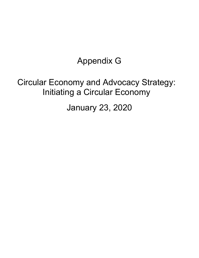## Appendix G

## Circular Economy and Advocacy Strategy: Initiating a Circular Economy

January 23, 2020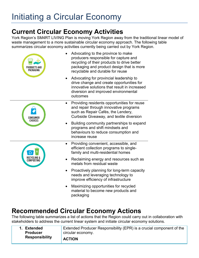### **Current Circular Economy Activities**

York Region's SM4RT LIVING Plan is moving York Region away from the traditional linear model of waste management to a more sustainable circular economy approach. The following table summarizes circular economy activities currently being carried out by York Region.

| PRODUCTS AND<br>PACKAGING | Advocating to the province to make<br>producers responsible for capture and<br>recycling of their products to drive better<br>packaging and product design that is more<br>recyclable and durable for reuse |
|---------------------------|-------------------------------------------------------------------------------------------------------------------------------------------------------------------------------------------------------------|
|                           | Advocating for provincial leadership to<br>drive change and create opportunities for<br>innovative solutions that result in increased<br>diversion and improved environmental<br>outcomes                   |
| CHOICES                   | Providing residents opportunities for reuse<br>$\bullet$<br>and repair through innovative programs<br>such as Repair Cafés, the Lendery,<br>Curbside Giveaway, and textile diversion                        |
|                           | Building community partnerships to expand<br>programs and shift mindsets and<br>behaviours to reduce consumption and<br>increase reuse                                                                      |
|                           | Providing convenient, accessible, and<br>$\bullet$<br>efficient collection programs to single-<br>family and multi-residential homes                                                                        |
|                           | Reclaiming energy and resources such as<br>metals from residual waste                                                                                                                                       |
|                           | Proactively planning for long-term capacity<br>$\bullet$<br>needs and leveraging technology to<br>improve efficiency of infrastructure                                                                      |
|                           | Maximizing opportunities for recycled<br>material to become new products and<br>packaging                                                                                                                   |

#### **Recommended Circular Economy Actions**

The following table summarizes a list of actions that the Region could carry out in collaboration with stakeholders to address the current linear system and initiate circular economy solutions.

| <b>Extended</b><br><b>Producer</b><br><b>Responsibility</b> | Extended Producer Responsibility (EPR) is a crucial component of the<br>circular economy. |
|-------------------------------------------------------------|-------------------------------------------------------------------------------------------|
|                                                             | <b>ACTION</b>                                                                             |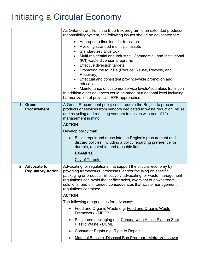| As Ontario transitions the Blue Box program to an extended producer<br>responsibility system, the following issues should be advocated for:                                                                                                                                                                                                                                                                                                                                                                                                                                                   |
|-----------------------------------------------------------------------------------------------------------------------------------------------------------------------------------------------------------------------------------------------------------------------------------------------------------------------------------------------------------------------------------------------------------------------------------------------------------------------------------------------------------------------------------------------------------------------------------------------|
| Appropriate timelines for transition<br>Avoiding stranded municipal assets<br><b>Standardized Blue Box</b><br>$\bullet$<br>Multi-residential and Industrial, Commercial, and Institutional<br>(ICI) waste diversion programs<br>• Effective diversion targets<br>Promoting the four Rs (Reduce, Reuse, Recycle, and<br>Recovery)<br>Effectual and consistent province-wide promotion and<br>education<br>Maintenance of customer service levels/"seamless transition"<br>In addition other advances could be made at a national level including<br>harmonization of provincial EPR approaches |
| A Green Procurement policy could require the Region to procure<br>products or services from vendors dedicated to waste reduction, reuse<br>and recycling and requiring vendors to design with end of life<br>management in mind.                                                                                                                                                                                                                                                                                                                                                              |
| <b>ACTION</b>                                                                                                                                                                                                                                                                                                                                                                                                                                                                                                                                                                                 |
| Develop policy that:                                                                                                                                                                                                                                                                                                                                                                                                                                                                                                                                                                          |
| Builds repair and reuse into the Region's procurement and<br>discard policies, including a policy regarding preference for<br>durable, repairable, and reusable items                                                                                                                                                                                                                                                                                                                                                                                                                         |
| <b>EXAMPLE</b>                                                                                                                                                                                                                                                                                                                                                                                                                                                                                                                                                                                |
| City of Toronto                                                                                                                                                                                                                                                                                                                                                                                                                                                                                                                                                                               |
| Advocating for regulations that support the circular economy by<br>providing frameworks, processes, and/or focusing on specific<br>packaging or products. Effectively advocating for waste management<br>regulations can avoid the inefficiencies, oversight of downstream<br>solutions, and unintended consequences that waste management<br>regulations contained.                                                                                                                                                                                                                          |
| <b>ACTION</b>                                                                                                                                                                                                                                                                                                                                                                                                                                                                                                                                                                                 |
| The following are priorities for advocacy:                                                                                                                                                                                                                                                                                                                                                                                                                                                                                                                                                    |
| Food and Organic Waste e.g. Food and Organic Waste<br>Framework - MECP                                                                                                                                                                                                                                                                                                                                                                                                                                                                                                                        |
| Single-use packaging e.g. Canada-wide Action Plan on Zero<br><b>Plastic Waste - CCME</b>                                                                                                                                                                                                                                                                                                                                                                                                                                                                                                      |
| Consumer Rights e.g. Right to Repair                                                                                                                                                                                                                                                                                                                                                                                                                                                                                                                                                          |
| Material Bans i.e. Disposal Ban Program - Metro Vancouver                                                                                                                                                                                                                                                                                                                                                                                                                                                                                                                                     |
|                                                                                                                                                                                                                                                                                                                                                                                                                                                                                                                                                                                               |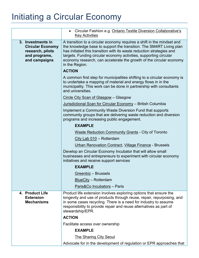|                                                                                                    | Circular Fashion e.g. Ontario Textile Diversion Collaborative's<br>$\bullet$<br><b>Key Activities</b>                                                                                                                                                                                                                                                                                |
|----------------------------------------------------------------------------------------------------|--------------------------------------------------------------------------------------------------------------------------------------------------------------------------------------------------------------------------------------------------------------------------------------------------------------------------------------------------------------------------------------|
| 3. Investments in<br><b>Circular Economy</b><br>research, pilots<br>and programs,<br>and campaigns | A transition to a circular economy requires a shift in the mindset and<br>the knowledge base to support the transition. The SM4RT Living plan<br>has initiated this transition with its waste reduction strategies and<br>targets. Funding circular economy activities, supporting circular<br>economy research, can accelerate the growth of the circular economy<br>in the Region. |
|                                                                                                    | <b>ACTION</b>                                                                                                                                                                                                                                                                                                                                                                        |
|                                                                                                    | A common first step for municipalities shifting to a circular economy is<br>to undertake a mapping of material and energy flows in in the<br>municipality. This work can be done in partnership with consultants<br>and universities.                                                                                                                                                |
|                                                                                                    | Circle City Scan of Glasgow - Glasgow                                                                                                                                                                                                                                                                                                                                                |
|                                                                                                    | Jurisdictional Scan for Circular Economy - British Columbia                                                                                                                                                                                                                                                                                                                          |
|                                                                                                    | Implement a Community Waste Diversion Fund that supports<br>community groups that are delivering waste reduction and diversion<br>programs and increasing public engagement.                                                                                                                                                                                                         |
|                                                                                                    | <b>EXAMPLE</b>                                                                                                                                                                                                                                                                                                                                                                       |
|                                                                                                    | <b>Waste Reduction Community Grants - City of Toronto</b>                                                                                                                                                                                                                                                                                                                            |
|                                                                                                    | City Lab 010 - Rotterdam                                                                                                                                                                                                                                                                                                                                                             |
|                                                                                                    | Urban Renovation Contract, Village Finance - Brussels                                                                                                                                                                                                                                                                                                                                |
|                                                                                                    | Develop an Circular Economy Incubator that will allow small<br>businesses and entrepreneurs to experiment with circular economy<br>initiatives and receive support services                                                                                                                                                                                                          |
|                                                                                                    | <b>EXAMPLE</b>                                                                                                                                                                                                                                                                                                                                                                       |
|                                                                                                    | Greenbiz - Brussels                                                                                                                                                                                                                                                                                                                                                                  |
|                                                                                                    | <b>BlueCity - Rotterdam</b>                                                                                                                                                                                                                                                                                                                                                          |
|                                                                                                    | Paris&Co Incubators - Paris                                                                                                                                                                                                                                                                                                                                                          |
| 4. Product Life<br><b>Extension</b><br><b>Mechanisms</b>                                           | Product life extension involves exploring options that ensure the<br>longevity and use of products through reuse, repair, repurposing, and<br>in some cases recycling. There is a need for industry to assume<br>responsibility to provide repair and reuse alternatives as part of<br>stewardship/EPR.                                                                              |
|                                                                                                    | <b>ACTION</b>                                                                                                                                                                                                                                                                                                                                                                        |
|                                                                                                    | Facilitate access over ownership                                                                                                                                                                                                                                                                                                                                                     |
|                                                                                                    | <b>EXAMPLE</b>                                                                                                                                                                                                                                                                                                                                                                       |
|                                                                                                    | <b>The Sharing City Seoul</b>                                                                                                                                                                                                                                                                                                                                                        |
|                                                                                                    | Advocate for in the development of regulation or EPR approaches that                                                                                                                                                                                                                                                                                                                 |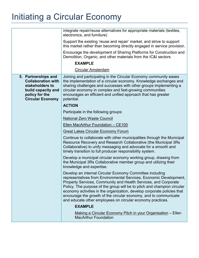| integrate repair/reuse alternatives for appropriate materials (textiles,<br>electronics, and furniture)                                                                                                                                                                                                                                                                                                                                                                                   |
|-------------------------------------------------------------------------------------------------------------------------------------------------------------------------------------------------------------------------------------------------------------------------------------------------------------------------------------------------------------------------------------------------------------------------------------------------------------------------------------------|
| Support the existing 'reuse and repair' market, and strive to support<br>this market rather than becoming directly engaged in service provision.                                                                                                                                                                                                                                                                                                                                          |
| Encourage the development of Sharing Platforms for Construction and<br>Demolition, Organic, and other materials from the IC&I sectors                                                                                                                                                                                                                                                                                                                                                     |
| <b>EXAMPLE</b>                                                                                                                                                                                                                                                                                                                                                                                                                                                                            |
| <b>Circular Amsterdam</b>                                                                                                                                                                                                                                                                                                                                                                                                                                                                 |
| Joining and participating in the Circular Economy community eases<br>the implementation of a circular economy. Knowledge exchanges and<br>sharing challenges and successes with other groups implementing a<br>circular economy in complex and fast-growing communities<br>encourages an efficient and unified approach that has greater<br>potential.                                                                                                                                    |
| <b>ACTION</b>                                                                                                                                                                                                                                                                                                                                                                                                                                                                             |
| Participate in the following groups:                                                                                                                                                                                                                                                                                                                                                                                                                                                      |
| <b>National Zero Waste Council</b>                                                                                                                                                                                                                                                                                                                                                                                                                                                        |
| Ellen MacArthur Foundation - CE100                                                                                                                                                                                                                                                                                                                                                                                                                                                        |
| <b>Great Lakes Circular Economy Forum</b>                                                                                                                                                                                                                                                                                                                                                                                                                                                 |
| Continue to collaborate with other municipalities through the Municipal<br>Resource Recovery and Research Collaborative (the Municipal 3Rs<br>Collaborative) to unify messaging and advocate for a smooth and<br>timely transition to full producer responsibility system.                                                                                                                                                                                                                |
| Develop a municipal circular economy working group, drawing from<br>the Municipal 3Rs Collaborative member group and utilizing their<br>knowledge and expertise.                                                                                                                                                                                                                                                                                                                          |
| Develop an internal Circular Economy Committee including<br>representatives from Environmental Services, Economic Development,<br>Property Services, Community and Health Services, and Corporate<br>Policy. The purpose of the group will be to pitch and champion circular<br>economy activities in the organization, develop corporate policies that<br>encourage the growth of the circular economy, and to communicate<br>and educate other employees on circular economy practices. |
| <b>EXAMPLE</b>                                                                                                                                                                                                                                                                                                                                                                                                                                                                            |
| Making a Circular Economy Pitch in your Organisation – Ellen<br><b>MacArthur Foundation</b>                                                                                                                                                                                                                                                                                                                                                                                               |
|                                                                                                                                                                                                                                                                                                                                                                                                                                                                                           |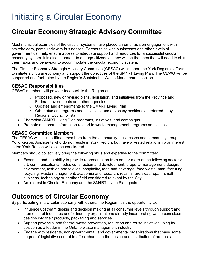### **Circular Economy Strategic Advisory Committee**

Most municipal examples of the circular systems have placed an emphasis on engagement with stakeholders, particularly with businesses. Partnerships with businesses and other levels of government can help ensure access to adequate support and resources for a successful circular economy system. It is also important to engage citizens as they will be the ones that will need to shift their habits and behaviour to accommodate the circular economy system.

The Circular Economy Strategic Advisory Committee (CESAC) will support the York Region's efforts to initiate a circular economy and support the objectives of the SM4RT Living Plan. The CEWG will be supported and facilitated by the Region's Sustainable Waste Management section.

#### **CESAC Responsibilities**

CESAC members will provide feedback to the Region on:

- o Proposed, new or revised plans, legislation, and initiatives from the Province and Federal governments and other agencies
- o Updates and amendments to the SM4RT Living Plan
- o Other studies programs and initiatives, and advocacy positions as referred to by Regional Council or staff
- Champion SM4RT Living Plan programs, initiatives, and campaigns
- Promote and share information related to waste management programs and issues.

#### **CEASC Committee Members**

The CESAC will include fifteen members from the community, businesses and community groups in York Region. Applicants who do not reside in York Region, but have a vested relationship or interest in the York Region will also be considered.

Members should collectively bring the following skills and expertise to the committee:

- Expertise and the ability to provide representation from one or more of the following sectors: art, communications/media, construction and development, property management, design, environment, fashion and textiles, hospitality, food and beverage, food waste, manufacturing, recycling, waste management, academia and research, retail, share/swap/repair, small business, technology or another field considered relevant by the City.
- An interest in Circular Economy and the SM4RT Living Plan goals

#### **Outcomes of Circular Economy**

By participating in a circular economy with others, the Region has the opportunity to:

- Influence upstream design and decision making at all consumer levels through support and promotion of industries and/or industry organizations already incorporating waste conscious designs into their products, packaging and services
- Support provincial and federal waste prevention, reduction and reuse initiatives using its position as a leader in the Ontario waste management industry
- Engage with residents, non-governmental, and governmental organizations that have some degree of legislative control to effect change in the design and distribution of products